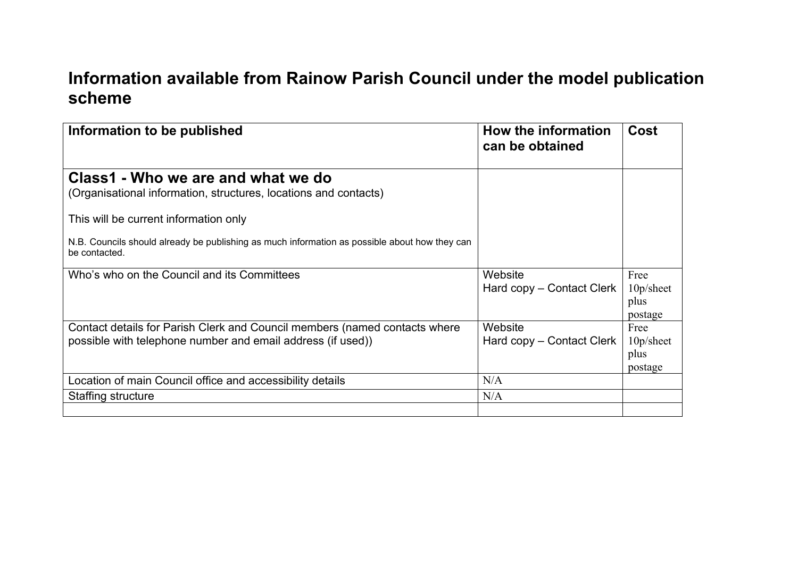## **Information available from Rainow Parish Council under the model publication scheme**

| Information to be published                                                                                                               | How the information<br>can be obtained | Cost                                    |
|-------------------------------------------------------------------------------------------------------------------------------------------|----------------------------------------|-----------------------------------------|
| Class1 - Who we are and what we do<br>(Organisational information, structures, locations and contacts)                                    |                                        |                                         |
| This will be current information only                                                                                                     |                                        |                                         |
| N.B. Councils should already be publishing as much information as possible about how they can<br>be contacted.                            |                                        |                                         |
| Who's who on the Council and its Committees                                                                                               | Website<br>Hard copy – Contact Clerk   | Free<br>10p/sheet<br>plus<br>postage    |
| Contact details for Parish Clerk and Council members (named contacts where<br>possible with telephone number and email address (if used)) | Website<br>Hard copy – Contact Clerk   | Free<br>$10p/s$ heet<br>plus<br>postage |
| Location of main Council office and accessibility details                                                                                 | N/A                                    |                                         |
| Staffing structure                                                                                                                        | N/A                                    |                                         |
|                                                                                                                                           |                                        |                                         |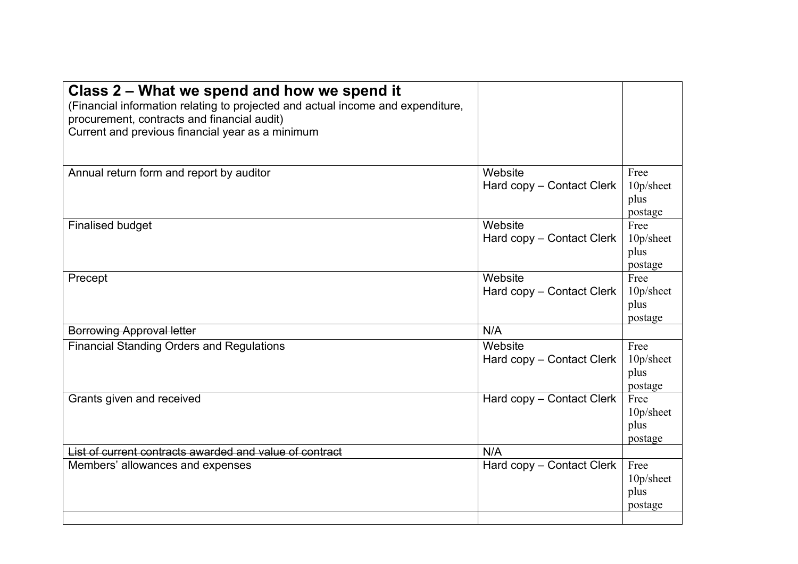| Class 2 – What we spend and how we spend it<br>(Financial information relating to projected and actual income and expenditure,<br>procurement, contracts and financial audit)<br>Current and previous financial year as a minimum |                                      |                                         |
|-----------------------------------------------------------------------------------------------------------------------------------------------------------------------------------------------------------------------------------|--------------------------------------|-----------------------------------------|
| Annual return form and report by auditor                                                                                                                                                                                          | Website<br>Hard copy - Contact Clerk | Free<br>10p/sheet<br>plus<br>postage    |
| <b>Finalised budget</b>                                                                                                                                                                                                           | Website<br>Hard copy – Contact Clerk | Free<br>$10p/s$ heet<br>plus<br>postage |
| Precept                                                                                                                                                                                                                           | Website<br>Hard copy - Contact Clerk | Free<br>10p/sheet<br>plus<br>postage    |
| <b>Borrowing Approval letter</b>                                                                                                                                                                                                  | N/A                                  |                                         |
| <b>Financial Standing Orders and Regulations</b>                                                                                                                                                                                  | Website<br>Hard copy - Contact Clerk | Free<br>10p/sheet<br>plus<br>postage    |
| Grants given and received                                                                                                                                                                                                         | Hard copy - Contact Clerk            | Free<br>10p/sheet<br>plus<br>postage    |
| List of current contracts awarded and value of contract                                                                                                                                                                           | N/A                                  |                                         |
| Members' allowances and expenses                                                                                                                                                                                                  | Hard copy – Contact Clerk            | Free<br>10p/sheet<br>plus<br>postage    |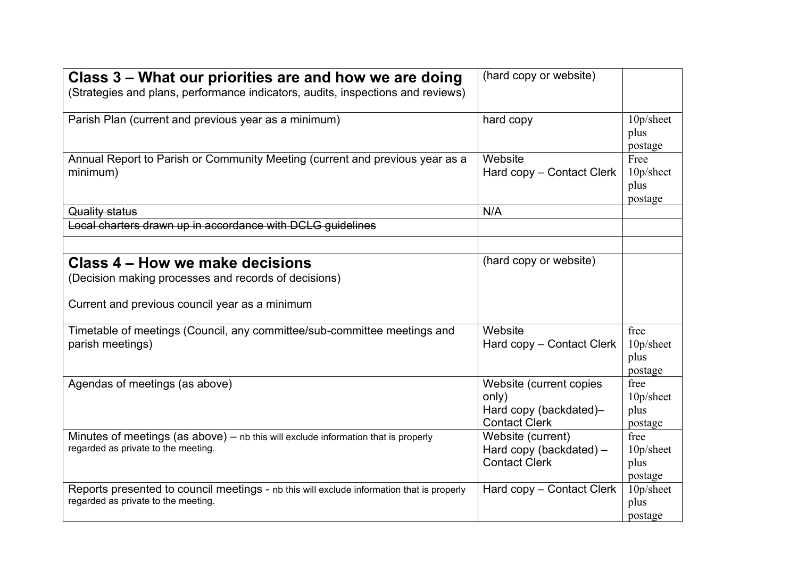| Class 3 – What our priorities are and how we are doing<br>(Strategies and plans, performance indicators, audits, inspections and reviews) | (hard copy or website)                                                             |                                      |
|-------------------------------------------------------------------------------------------------------------------------------------------|------------------------------------------------------------------------------------|--------------------------------------|
| Parish Plan (current and previous year as a minimum)                                                                                      | hard copy                                                                          | 10p/sheet<br>plus<br>postage         |
| Annual Report to Parish or Community Meeting (current and previous year as a<br>minimum)                                                  | Website<br>Hard copy – Contact Clerk                                               | Free<br>10p/sheet<br>plus<br>postage |
| Quality status                                                                                                                            | N/A                                                                                |                                      |
| Local charters drawn up in accordance with DCLG guidelines                                                                                |                                                                                    |                                      |
| Class 4 – How we make decisions<br>(Decision making processes and records of decisions)<br>Current and previous council year as a minimum | (hard copy or website)                                                             |                                      |
| Timetable of meetings (Council, any committee/sub-committee meetings and<br>parish meetings)                                              | Website<br>Hard copy - Contact Clerk                                               | free<br>10p/sheet<br>plus<br>postage |
| Agendas of meetings (as above)                                                                                                            | Website (current copies<br>only)<br>Hard copy (backdated)-<br><b>Contact Clerk</b> | free<br>10p/sheet<br>plus<br>postage |
| Minutes of meetings (as above) - nb this will exclude information that is properly<br>regarded as private to the meeting.                 | Website (current)<br>Hard copy (backdated) -<br><b>Contact Clerk</b>               | free<br>10p/sheet<br>plus<br>postage |
| Reports presented to council meetings - nb this will exclude information that is properly<br>regarded as private to the meeting.          | Hard copy – Contact Clerk                                                          | 10p/sheet<br>plus<br>postage         |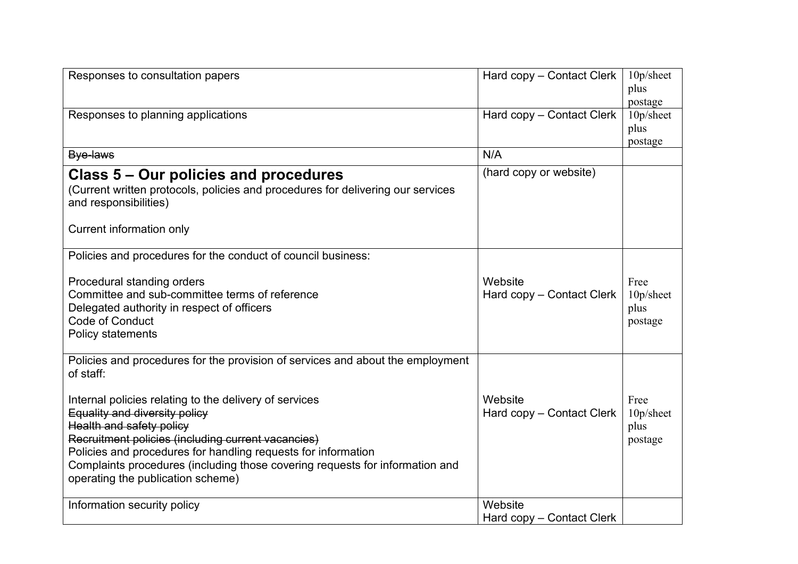| Responses to consultation papers                                                                         | Hard copy – Contact Clerk | 10p/sheet         |
|----------------------------------------------------------------------------------------------------------|---------------------------|-------------------|
|                                                                                                          |                           | plus<br>postage   |
| Responses to planning applications                                                                       | Hard copy - Contact Clerk | 10p/sheet         |
|                                                                                                          |                           | plus              |
|                                                                                                          |                           | postage           |
| Bye-laws                                                                                                 | N/A                       |                   |
| Class 5 – Our policies and procedures                                                                    | (hard copy or website)    |                   |
| (Current written protocols, policies and procedures for delivering our services<br>and responsibilities) |                           |                   |
| <b>Current information only</b>                                                                          |                           |                   |
| Policies and procedures for the conduct of council business:                                             |                           |                   |
| Procedural standing orders                                                                               | Website                   | Free              |
| Committee and sub-committee terms of reference                                                           | Hard copy - Contact Clerk | 10p/sheet         |
| Delegated authority in respect of officers                                                               |                           | plus              |
| Code of Conduct<br>Policy statements                                                                     |                           | postage           |
|                                                                                                          |                           |                   |
| Policies and procedures for the provision of services and about the employment<br>of staff:              |                           |                   |
|                                                                                                          |                           |                   |
| Internal policies relating to the delivery of services                                                   | Website                   | Free              |
| Equality and diversity policy<br>Health and safety policy                                                | Hard copy - Contact Clerk | 10p/sheet<br>plus |
| Recruitment policies (including current vacancies)                                                       |                           | postage           |
| Policies and procedures for handling requests for information                                            |                           |                   |
| Complaints procedures (including those covering requests for information and                             |                           |                   |
| operating the publication scheme)                                                                        |                           |                   |
| Information security policy                                                                              | Website                   |                   |
|                                                                                                          | Hard copy – Contact Clerk |                   |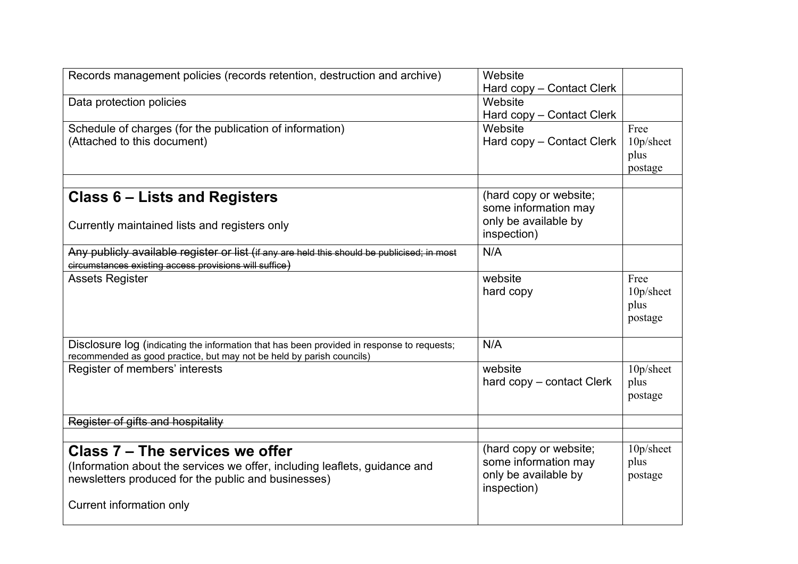| Records management policies (records retention, destruction and archive)                    | Website                   |           |
|---------------------------------------------------------------------------------------------|---------------------------|-----------|
|                                                                                             | Hard copy - Contact Clerk |           |
| Data protection policies                                                                    | Website                   |           |
|                                                                                             | Hard copy - Contact Clerk |           |
| Schedule of charges (for the publication of information)                                    | Website                   | Free      |
| (Attached to this document)                                                                 | Hard copy – Contact Clerk | 10p/sheet |
|                                                                                             |                           | plus      |
|                                                                                             |                           | postage   |
|                                                                                             |                           |           |
| Class 6 – Lists and Registers                                                               | (hard copy or website;    |           |
|                                                                                             | some information may      |           |
| Currently maintained lists and registers only                                               | only be available by      |           |
|                                                                                             | inspection)               |           |
| Any publicly available register or list (if any are held this should be publicised; in most | N/A                       |           |
| circumstances existing access provisions will suffice)                                      |                           |           |
| <b>Assets Register</b>                                                                      | website                   | Free      |
|                                                                                             | hard copy                 | 10p/sheet |
|                                                                                             |                           | plus      |
|                                                                                             |                           | postage   |
| Disclosure log (indicating the information that has been provided in response to requests;  | N/A                       |           |
| recommended as good practice, but may not be held by parish councils)                       |                           |           |
| Register of members' interests                                                              | website                   | 10p/sheet |
|                                                                                             | hard copy – contact Clerk | plus      |
|                                                                                             |                           | postage   |
|                                                                                             |                           |           |
| Register of gifts and hospitality                                                           |                           |           |
| Class 7 – The services we offer                                                             | (hard copy or website;    | 10p/sheet |
| (Information about the services we offer, including leaflets, guidance and                  | some information may      | plus      |
| newsletters produced for the public and businesses)                                         | only be available by      | postage   |
|                                                                                             | inspection)               |           |
| Current information only                                                                    |                           |           |
|                                                                                             |                           |           |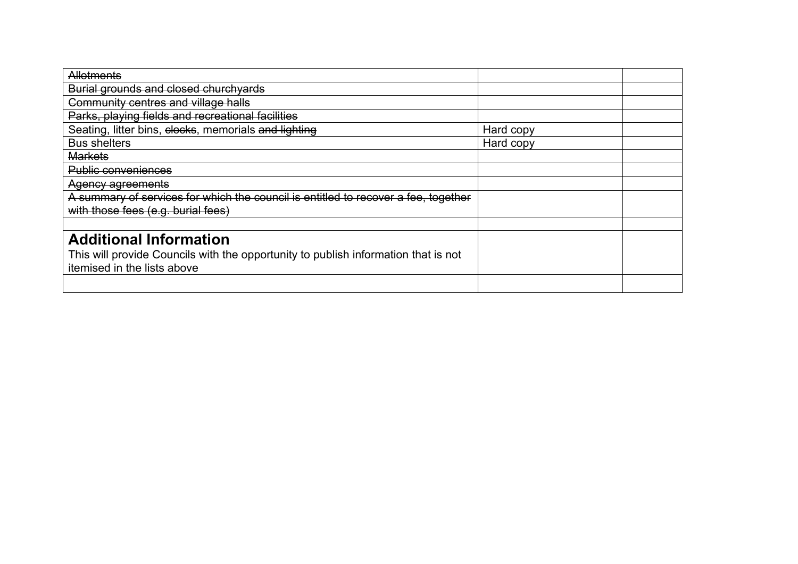| Allotments                                                                         |           |  |
|------------------------------------------------------------------------------------|-----------|--|
| Burial grounds and closed churchyards                                              |           |  |
| Community centres and village halls                                                |           |  |
| Parks, playing fields and recreational facilities                                  |           |  |
| Seating, litter bins, clocks, memorials and lighting                               | Hard copy |  |
| <b>Bus shelters</b>                                                                | Hard copy |  |
| <b>Markets</b>                                                                     |           |  |
| <b>Public conveniences</b>                                                         |           |  |
| Agency agreements                                                                  |           |  |
| A summary of services for which the council is entitled to recover a fee, together |           |  |
| with those fees (e.g. burial fees)                                                 |           |  |
|                                                                                    |           |  |
| <b>Additional Information</b>                                                      |           |  |
| This will provide Councils with the opportunity to publish information that is not |           |  |
| itemised in the lists above                                                        |           |  |
|                                                                                    |           |  |
|                                                                                    |           |  |